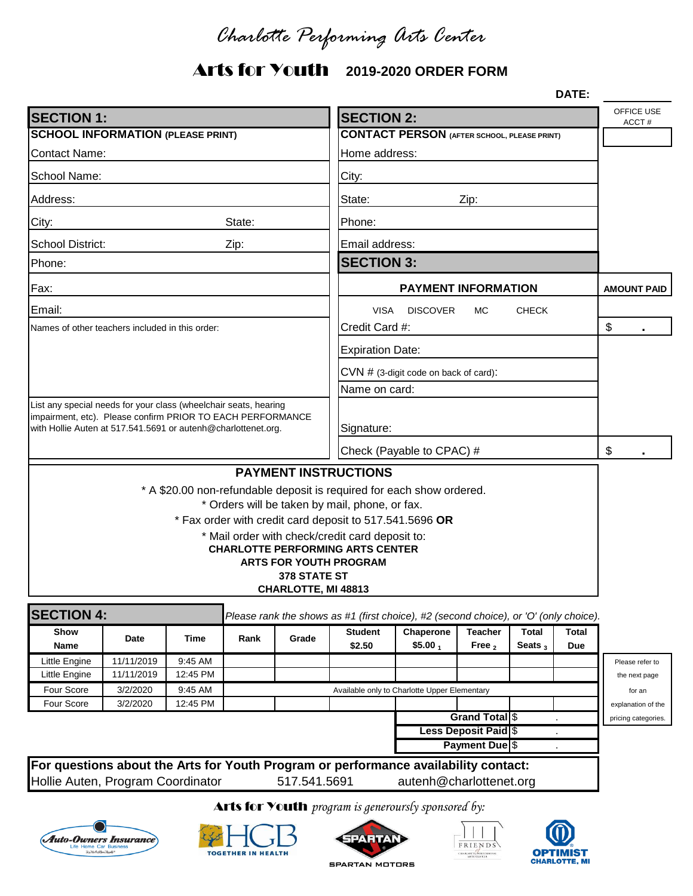*Charlotte Performing Arts Center*

# Arts for Youth **2019-2020 ORDER FORM**

|                                                                                                                                |                          |                           |                                              |                                     | DATE:                                                                                                                                                                                                                                                                                                             |                         |                           |            |              |                                  |
|--------------------------------------------------------------------------------------------------------------------------------|--------------------------|---------------------------|----------------------------------------------|-------------------------------------|-------------------------------------------------------------------------------------------------------------------------------------------------------------------------------------------------------------------------------------------------------------------------------------------------------------------|-------------------------|---------------------------|------------|--------------|----------------------------------|
| <b>SECTION 1:</b>                                                                                                              | <b>SECTION 2:</b>        |                           |                                              |                                     |                                                                                                                                                                                                                                                                                                                   | OFFICE USE<br>ACCT#     |                           |            |              |                                  |
| <b>SCHOOL INFORMATION (PLEASE PRINT)</b>                                                                                       |                          |                           |                                              |                                     | <b>CONTACT PERSON (AFTER SCHOOL, PLEASE PRINT)</b>                                                                                                                                                                                                                                                                |                         |                           |            |              |                                  |
| <b>Contact Name:</b>                                                                                                           |                          |                           |                                              |                                     | Home address:                                                                                                                                                                                                                                                                                                     |                         |                           |            |              |                                  |
| School Name:                                                                                                                   |                          |                           |                                              |                                     | City:                                                                                                                                                                                                                                                                                                             |                         |                           |            |              |                                  |
| Address:                                                                                                                       |                          |                           |                                              |                                     | State:<br>Zip:                                                                                                                                                                                                                                                                                                    |                         |                           |            |              |                                  |
| State:<br>City:                                                                                                                |                          |                           |                                              |                                     | Phone:                                                                                                                                                                                                                                                                                                            |                         |                           |            |              |                                  |
| <b>School District:</b><br>Zip:                                                                                                |                          |                           |                                              |                                     | Email address:                                                                                                                                                                                                                                                                                                    |                         |                           |            |              |                                  |
| Phone:                                                                                                                         |                          |                           |                                              |                                     | <b>SECTION 3:</b>                                                                                                                                                                                                                                                                                                 |                         |                           |            |              |                                  |
| Fax:                                                                                                                           |                          |                           |                                              |                                     | <b>PAYMENT INFORMATION</b>                                                                                                                                                                                                                                                                                        |                         |                           |            |              | <b>AMOUNT PAID</b>               |
| Email:                                                                                                                         |                          |                           |                                              |                                     | VISA<br><b>DISCOVER</b><br>MC.<br><b>CHECK</b>                                                                                                                                                                                                                                                                    |                         |                           |            |              |                                  |
| Names of other teachers included in this order:                                                                                |                          | Credit Card #:            |                                              |                                     |                                                                                                                                                                                                                                                                                                                   |                         | $\boldsymbol{\mathsf{S}}$ |            |              |                                  |
|                                                                                                                                |                          |                           |                                              |                                     | <b>Expiration Date:</b>                                                                                                                                                                                                                                                                                           |                         |                           |            |              |                                  |
|                                                                                                                                |                          |                           |                                              |                                     | CVN # (3-digit code on back of card):                                                                                                                                                                                                                                                                             |                         |                           |            |              |                                  |
|                                                                                                                                |                          |                           |                                              |                                     | Name on card:                                                                                                                                                                                                                                                                                                     |                         |                           |            |              |                                  |
| List any special needs for your class (wheelchair seats, hearing<br>impairment, etc). Please confirm PRIOR TO EACH PERFORMANCE |                          |                           |                                              |                                     |                                                                                                                                                                                                                                                                                                                   |                         |                           |            |              |                                  |
| with Hollie Auten at 517.541.5691 or autenh@charlottenet.org.                                                                  |                          | Signature:                |                                              |                                     |                                                                                                                                                                                                                                                                                                                   |                         |                           |            |              |                                  |
|                                                                                                                                |                          | Check (Payable to CPAC) # |                                              |                                     |                                                                                                                                                                                                                                                                                                                   |                         | \$                        |            |              |                                  |
|                                                                                                                                |                          |                           |                                              |                                     | <b>PAYMENT INSTRUCTIONS</b>                                                                                                                                                                                                                                                                                       |                         |                           |            |              |                                  |
|                                                                                                                                |                          |                           |                                              | 378 STATE ST<br>CHARLOTTE, MI 48813 | * A \$20.00 non-refundable deposit is required for each show ordered.<br>* Orders will be taken by mail, phone, or fax.<br>* Fax order with credit card deposit to 517.541.5696 OR<br>* Mail order with check/credit card deposit to:<br><b>CHARLOTTE PERFORMING ARTS CENTER</b><br><b>ARTS FOR YOUTH PROGRAM</b> |                         |                           |            |              |                                  |
|                                                                                                                                |                          |                           |                                              |                                     |                                                                                                                                                                                                                                                                                                                   |                         |                           |            |              |                                  |
| <b>SECTION 4:</b><br>Show                                                                                                      | Date                     | Time                      | Rank                                         | Grade                               | Please rank the shows as #1 (first choice), #2 (second choice), or 'O' (only choice).<br><b>Student</b>                                                                                                                                                                                                           | Chaperone               | Teacher                   | Total      | <b>Total</b> |                                  |
| Name<br>Little Engine                                                                                                          |                          |                           |                                              |                                     | \$2.50                                                                                                                                                                                                                                                                                                            | \$5.00 <sub>1</sub>     | Free $2$                  | Seats $_3$ | <b>Due</b>   |                                  |
| Little Engine                                                                                                                  | 11/11/2019<br>11/11/2019 | 9:45 AM<br>12:45 PM       |                                              |                                     |                                                                                                                                                                                                                                                                                                                   |                         |                           |            |              | Please refer to<br>the next page |
| Four Score                                                                                                                     | 3/2/2020                 | 9:45 AM                   | Available only to Charlotte Upper Elementary |                                     |                                                                                                                                                                                                                                                                                                                   |                         |                           |            |              | for an                           |
| Four Score                                                                                                                     | 3/2/2020                 | 12:45 PM                  |                                              |                                     |                                                                                                                                                                                                                                                                                                                   |                         |                           |            |              | explanation of the               |
|                                                                                                                                |                          |                           |                                              |                                     |                                                                                                                                                                                                                                                                                                                   |                         | <b>Grand Total</b> \$     |            |              | pricing categories.              |
| <b>Less Deposit Paid \$</b>                                                                                                    |                          |                           |                                              |                                     |                                                                                                                                                                                                                                                                                                                   |                         |                           |            |              |                                  |
| <b>Payment Due</b> \$                                                                                                          |                          |                           |                                              |                                     |                                                                                                                                                                                                                                                                                                                   |                         |                           |            |              |                                  |
| For questions about the Arts for Youth Program or performance availability contact:                                            |                          |                           |                                              |                                     |                                                                                                                                                                                                                                                                                                                   |                         |                           |            |              |                                  |
| Hollie Auten, Program Coordinator                                                                                              |                          |                           |                                              | 517.541.5691                        |                                                                                                                                                                                                                                                                                                                   | autenh@charlottenet.org |                           |            |              |                                  |
|                                                                                                                                |                          |                           |                                              |                                     |                                                                                                                                                                                                                                                                                                                   |                         |                           |            |              |                                  |

#### Arts for Youth *program is generoursly sponsored by:*











**SPARTAN MOTORS**